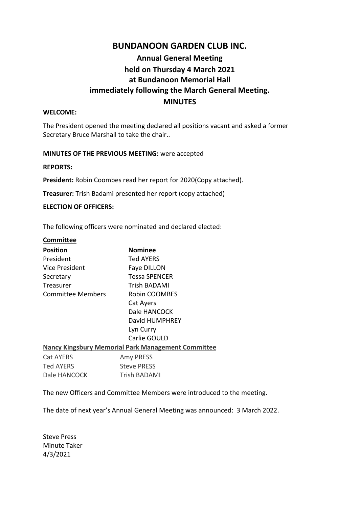### **BUNDANOON GARDEN CLUB INC.**

# **Annual General Meeting held on Thursday 4 March 2021 at Bundanoon Memorial Hall immediately following the March General Meeting. MINUTES**

#### **WELCOME:**

The President opened the meeting declared all positions vacant and asked a former Secretary Bruce Marshall to take the chair..

#### **MINUTES OF THE PREVIOUS MEETING:** were accepted

#### **REPORTS:**

**President:** Robin Coombes read her report for 2020(Copy attached).

**Treasurer:** Trish Badami presented her report (copy attached)

#### **ELECTION OF OFFICERS:**

The following officers were nominated and declared elected:

| Committee         |                                                           |
|-------------------|-----------------------------------------------------------|
| <b>Position</b>   | Nominee                                                   |
| President         | Ted AYERS                                                 |
| Vice President    | Faye DILLON                                               |
| Secretary         | Tessa SPENCER                                             |
| Treasurer         | Trish BADAMI                                              |
| Committee Members | Robin COOMBES                                             |
|                   | Cat Ayers                                                 |
|                   | Dale HANCOCK                                              |
|                   | David HUMPHREY                                            |
|                   | Lyn Curry                                                 |
|                   | Carlie GOULD                                              |
|                   | <b>Nancy Kingsbury Memorial Park Management Committee</b> |
| <b>Cat AYERS</b>  | Amy PRESS                                                 |
| <b>Ted AYERS</b>  | <b>Steve PRESS</b>                                        |
| Dale HANCOCK      | <b>Trish BADAMI</b>                                       |

The new Officers and Committee Members were introduced to the meeting.

The date of next year's Annual General Meeting was announced: 3 March 2022.

Steve Press Minute Taker 4/3/2021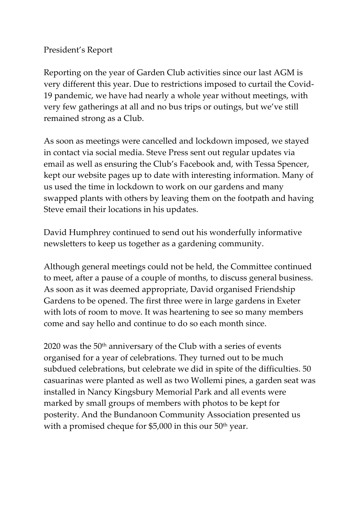# President's Report

Reporting on the year of Garden Club activities since our last AGM is very different this year. Due to restrictions imposed to curtail the Covid-19 pandemic, we have had nearly a whole year without meetings, with very few gatherings at all and no bus trips or outings, but we've still remained strong as a Club.

As soon as meetings were cancelled and lockdown imposed, we stayed in contact via social media. Steve Press sent out regular updates via email as well as ensuring the Club's Facebook and, with Tessa Spencer, kept our website pages up to date with interesting information. Many of us used the time in lockdown to work on our gardens and many swapped plants with others by leaving them on the footpath and having Steve email their locations in his updates.

David Humphrey continued to send out his wonderfully informative newsletters to keep us together as a gardening community.

Although general meetings could not be held, the Committee continued to meet, after a pause of a couple of months, to discuss general business. As soon as it was deemed appropriate, David organised Friendship Gardens to be opened. The first three were in large gardens in Exeter with lots of room to move. It was heartening to see so many members come and say hello and continue to do so each month since.

 $2020$  was the  $50<sup>th</sup>$  anniversary of the Club with a series of events organised for a year of celebrations. They turned out to be much subdued celebrations, but celebrate we did in spite of the difficulties. 50 casuarinas were planted as well as two Wollemi pines, a garden seat was installed in Nancy Kingsbury Memorial Park and all events were marked by small groups of members with photos to be kept for posterity. And the Bundanoon Community Association presented us with a promised cheque for \$5,000 in this our 50<sup>th</sup> year.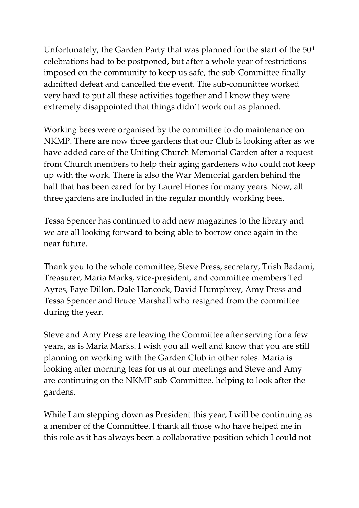Unfortunately, the Garden Party that was planned for the start of the 50<sup>th</sup> celebrations had to be postponed, but after a whole year of restrictions imposed on the community to keep us safe, the sub-Committee finally admitted defeat and cancelled the event. The sub-committee worked very hard to put all these activities together and I know they were extremely disappointed that things didn't work out as planned.

Working bees were organised by the committee to do maintenance on NKMP. There are now three gardens that our Club is looking after as we have added care of the Uniting Church Memorial Garden after a request from Church members to help their aging gardeners who could not keep up with the work. There is also the War Memorial garden behind the hall that has been cared for by Laurel Hones for many years. Now, all three gardens are included in the regular monthly working bees.

Tessa Spencer has continued to add new magazines to the library and we are all looking forward to being able to borrow once again in the near future.

Thank you to the whole committee, Steve Press, secretary, Trish Badami, Treasurer, Maria Marks, vice-president, and committee members Ted Ayres, Faye Dillon, Dale Hancock, David Humphrey, Amy Press and Tessa Spencer and Bruce Marshall who resigned from the committee during the year.

Steve and Amy Press are leaving the Committee after serving for a few years, as is Maria Marks. I wish you all well and know that you are still planning on working with the Garden Club in other roles. Maria is looking after morning teas for us at our meetings and Steve and Amy are continuing on the NKMP sub-Committee, helping to look after the gardens.

While I am stepping down as President this year, I will be continuing as a member of the Committee. I thank all those who have helped me in this role as it has always been a collaborative position which I could not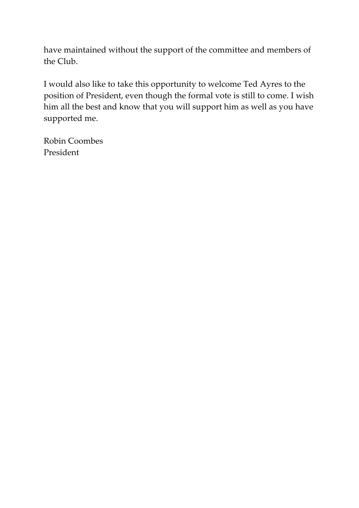have maintained without the support of the committee and members of the Club.

I would also like to take this opportunity to welcome Ted Ayres to the position of President, even though the formal vote is still to come. I wish him all the best and know that you will support him as well as you have supported me.

Robin Coombes President